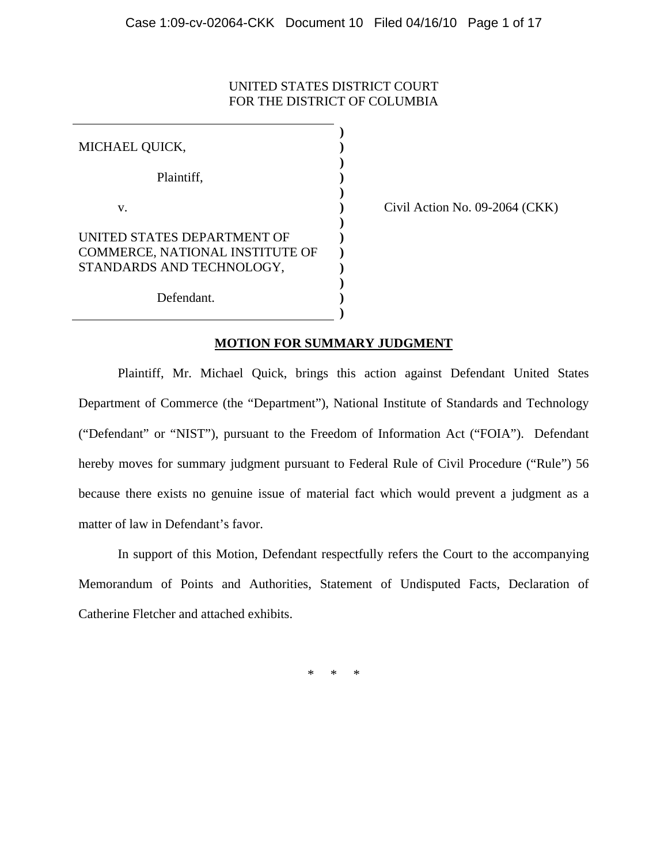## UNITED STATES DISTRICT COURT FOR THE DISTRICT OF COLUMBIA

MICHAEL QUICK, Plaintiff, v. UNITED STATES DEPARTMENT OF COMMERCE, NATIONAL INSTITUTE OF STANDARDS AND TECHNOLOGY, Defendant. **) ) ) ) ) ) ) ) ) ) ) ) )**

Civil Action No. 09-2064 (CKK)

## **MOTION FOR SUMMARY JUDGMENT**

 Plaintiff, Mr. Michael Quick, brings this action against Defendant United States Department of Commerce (the "Department"), National Institute of Standards and Technology ("Defendant" or "NIST"), pursuant to the Freedom of Information Act ("FOIA"). Defendant hereby moves for summary judgment pursuant to Federal Rule of Civil Procedure ("Rule") 56 because there exists no genuine issue of material fact which would prevent a judgment as a matter of law in Defendant's favor.

 In support of this Motion, Defendant respectfully refers the Court to the accompanying Memorandum of Points and Authorities, Statement of Undisputed Facts, Declaration of Catherine Fletcher and attached exhibits.

\* \* \*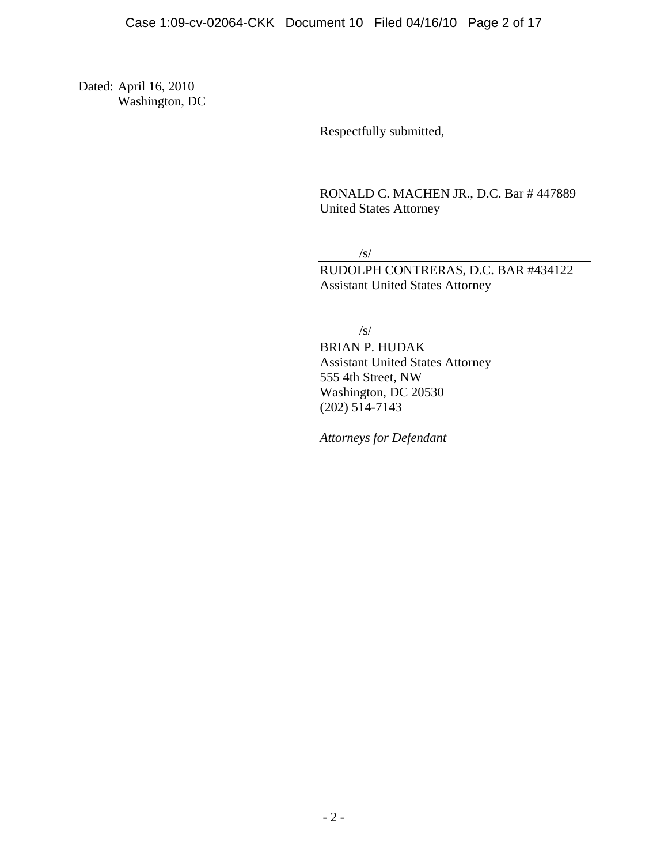Dated: April 16, 2010 Washington, DC

Respectfully submitted,

RONALD C. MACHEN JR., D.C. Bar # 447889 United States Attorney

/s/

RUDOLPH CONTRERAS, D.C. BAR #434122 Assistant United States Attorney

/s/

BRIAN P. HUDAK Assistant United States Attorney 555 4th Street, NW Washington, DC 20530 (202) 514-7143

*Attorneys for Defendant*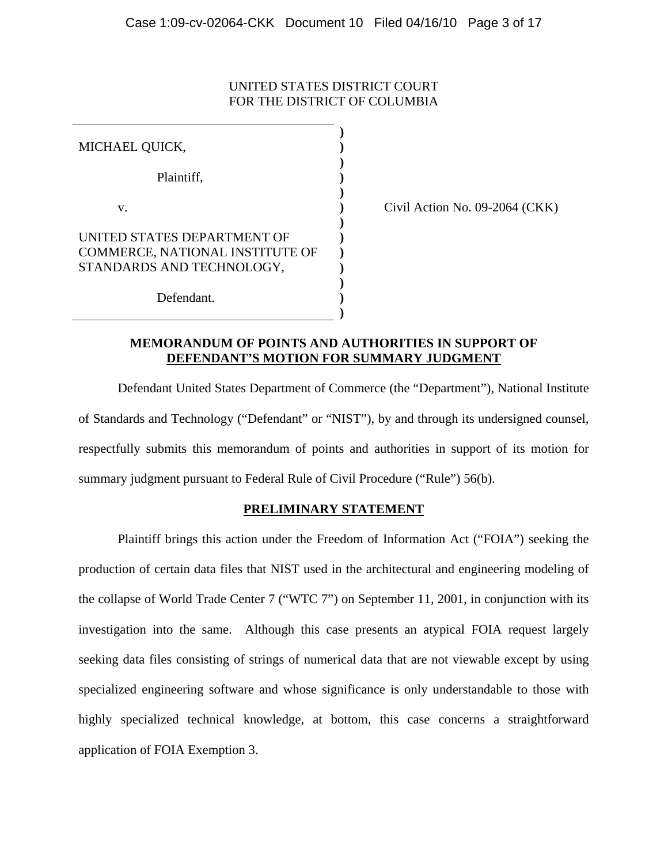## UNITED STATES DISTRICT COURT FOR THE DISTRICT OF COLUMBIA

| MICHAEL QUICK,                                                                              |  |
|---------------------------------------------------------------------------------------------|--|
| Plaintiff,                                                                                  |  |
| V.                                                                                          |  |
| UNITED STATES DEPARTMENT OF<br>COMMERCE, NATIONAL INSTITUTE OF<br>STANDARDS AND TECHNOLOGY, |  |
| Defendant.                                                                                  |  |

Civil Action No. 09-2064 (CKK)

### **MEMORANDUM OF POINTS AND AUTHORITIES IN SUPPORT OF DEFENDANT'S MOTION FOR SUMMARY JUDGMENT**

Defendant United States Department of Commerce (the "Department"), National Institute of Standards and Technology ("Defendant" or "NIST"), by and through its undersigned counsel, respectfully submits this memorandum of points and authorities in support of its motion for summary judgment pursuant to Federal Rule of Civil Procedure ("Rule") 56(b).

## **PRELIMINARY STATEMENT**

Plaintiff brings this action under the Freedom of Information Act ("FOIA") seeking the production of certain data files that NIST used in the architectural and engineering modeling of the collapse of World Trade Center 7 ("WTC 7") on September 11, 2001, in conjunction with its investigation into the same. Although this case presents an atypical FOIA request largely seeking data files consisting of strings of numerical data that are not viewable except by using specialized engineering software and whose significance is only understandable to those with highly specialized technical knowledge, at bottom, this case concerns a straightforward application of FOIA Exemption 3.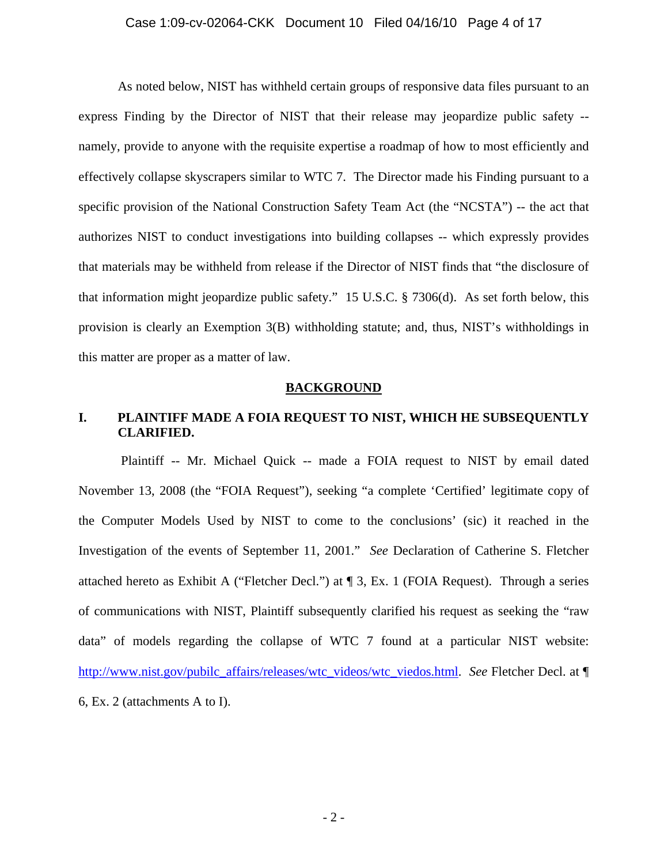#### Case 1:09-cv-02064-CKK Document 10 Filed 04/16/10 Page 4 of 17

As noted below, NIST has withheld certain groups of responsive data files pursuant to an express Finding by the Director of NIST that their release may jeopardize public safety - namely, provide to anyone with the requisite expertise a roadmap of how to most efficiently and effectively collapse skyscrapers similar to WTC 7. The Director made his Finding pursuant to a specific provision of the National Construction Safety Team Act (the "NCSTA") -- the act that authorizes NIST to conduct investigations into building collapses -- which expressly provides that materials may be withheld from release if the Director of NIST finds that "the disclosure of that information might jeopardize public safety." 15 U.S.C. § 7306(d). As set forth below, this provision is clearly an Exemption 3(B) withholding statute; and, thus, NIST's withholdings in this matter are proper as a matter of law.

#### **BACKGROUND**

## **I. PLAINTIFF MADE A FOIA REQUEST TO NIST, WHICH HE SUBSEQUENTLY CLARIFIED.**

 Plaintiff -- Mr. Michael Quick -- made a FOIA request to NIST by email dated November 13, 2008 (the "FOIA Request"), seeking "a complete 'Certified' legitimate copy of the Computer Models Used by NIST to come to the conclusions' (sic) it reached in the Investigation of the events of September 11, 2001." *See* Declaration of Catherine S. Fletcher attached hereto as Exhibit A ("Fletcher Decl.") at ¶ 3, Ex. 1 (FOIA Request). Through a series of communications with NIST, Plaintiff subsequently clarified his request as seeking the "raw data" of models regarding the collapse of WTC 7 found at a particular NIST website: http://www.nist.gov/pubilc\_affairs/releases/wtc\_videos/wtc\_viedos.html. *See* Fletcher Decl. at ¶ 6, Ex. 2 (attachments A to I).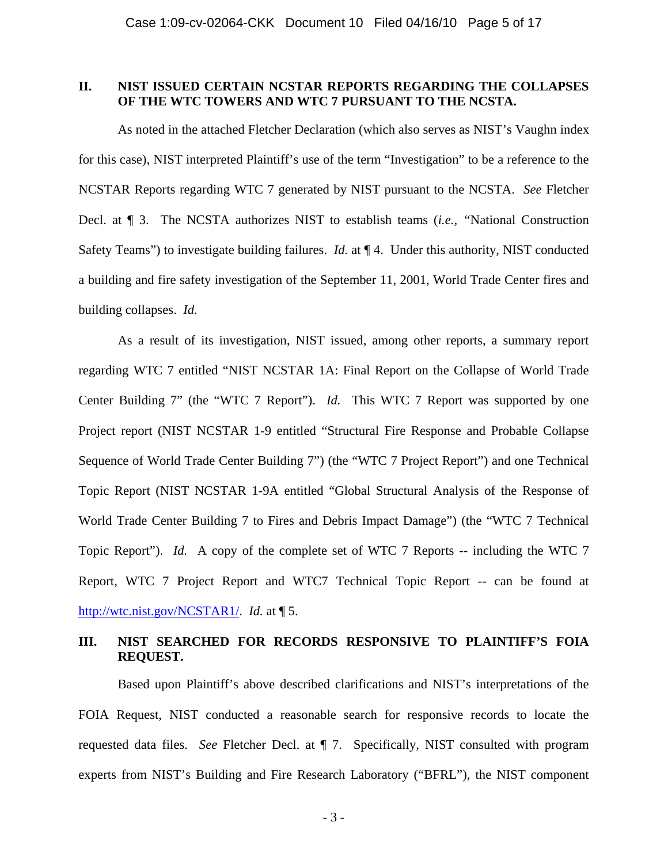### **II. NIST ISSUED CERTAIN NCSTAR REPORTS REGARDING THE COLLAPSES OF THE WTC TOWERS AND WTC 7 PURSUANT TO THE NCSTA.**

As noted in the attached Fletcher Declaration (which also serves as NIST's Vaughn index for this case), NIST interpreted Plaintiff's use of the term "Investigation" to be a reference to the NCSTAR Reports regarding WTC 7 generated by NIST pursuant to the NCSTA. *See* Fletcher Decl. at ¶ 3. The NCSTA authorizes NIST to establish teams (*i.e., "*National Construction Safety Teams") to investigate building failures. *Id.* at ¶ 4. Under this authority, NIST conducted a building and fire safety investigation of the September 11, 2001, World Trade Center fires and building collapses. *Id.* 

As a result of its investigation, NIST issued, among other reports, a summary report regarding WTC 7 entitled "NIST NCSTAR 1A: Final Report on the Collapse of World Trade Center Building 7" (the "WTC 7 Report"). *Id.* This WTC 7 Report was supported by one Project report (NIST NCSTAR 1-9 entitled "Structural Fire Response and Probable Collapse Sequence of World Trade Center Building 7") (the "WTC 7 Project Report") and one Technical Topic Report (NIST NCSTAR 1-9A entitled "Global Structural Analysis of the Response of World Trade Center Building 7 to Fires and Debris Impact Damage") (the "WTC 7 Technical Topic Report"). *Id.* A copy of the complete set of WTC 7 Reports -- including the WTC 7 Report, WTC 7 Project Report and WTC7 Technical Topic Report -- can be found at http://wtc.nist.gov/NCSTAR1/. *Id.* at ¶ 5.

## **III. NIST SEARCHED FOR RECORDS RESPONSIVE TO PLAINTIFF'S FOIA REQUEST.**

 Based upon Plaintiff's above described clarifications and NIST's interpretations of the FOIA Request, NIST conducted a reasonable search for responsive records to locate the requested data files. *See* Fletcher Decl. at ¶ 7. Specifically, NIST consulted with program experts from NIST's Building and Fire Research Laboratory ("BFRL"), the NIST component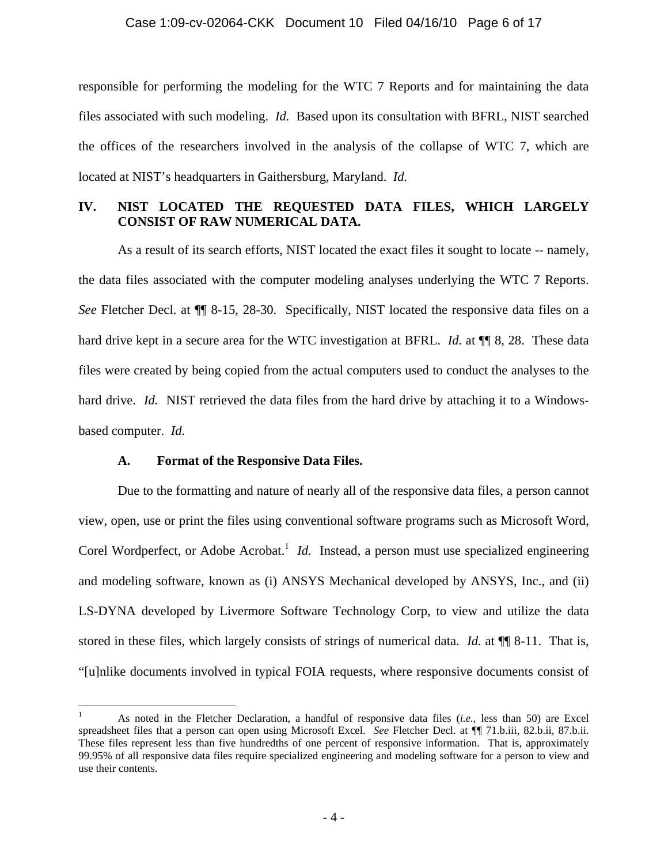#### Case 1:09-cv-02064-CKK Document 10 Filed 04/16/10 Page 6 of 17

responsible for performing the modeling for the WTC 7 Reports and for maintaining the data files associated with such modeling. *Id.* Based upon its consultation with BFRL, NIST searched the offices of the researchers involved in the analysis of the collapse of WTC 7, which are located at NIST's headquarters in Gaithersburg, Maryland. *Id.*

## **IV. NIST LOCATED THE REQUESTED DATA FILES, WHICH LARGELY CONSIST OF RAW NUMERICAL DATA.**

As a result of its search efforts, NIST located the exact files it sought to locate -- namely, the data files associated with the computer modeling analyses underlying the WTC 7 Reports. *See* Fletcher Decl. at  $\P$  8-15, 28-30. Specifically, NIST located the responsive data files on a hard drive kept in a secure area for the WTC investigation at BFRL. *Id.* at **¶** 8, 28. These data files were created by being copied from the actual computers used to conduct the analyses to the hard drive. *Id.* NIST retrieved the data files from the hard drive by attaching it to a Windowsbased computer. *Id.*

#### **A. Format of the Responsive Data Files.**

 $\overline{a}$ 

Due to the formatting and nature of nearly all of the responsive data files, a person cannot view, open, use or print the files using conventional software programs such as Microsoft Word, Corel Wordperfect, or Adobe Acrobat.<sup>1</sup> *Id.* Instead, a person must use specialized engineering and modeling software, known as (i) ANSYS Mechanical developed by ANSYS, Inc., and (ii) LS-DYNA developed by Livermore Software Technology Corp, to view and utilize the data stored in these files, which largely consists of strings of numerical data. *Id.* at ¶¶ 8-11. That is, "[u]nlike documents involved in typical FOIA requests, where responsive documents consist of

<sup>1</sup> As noted in the Fletcher Declaration, a handful of responsive data files (*i.e.*, less than 50) are Excel spreadsheet files that a person can open using Microsoft Excel. *See* Fletcher Decl. at ¶¶ 71.b.iii, 82.b.ii, 87.b.ii. These files represent less than five hundredths of one percent of responsive information. That is, approximately 99.95% of all responsive data files require specialized engineering and modeling software for a person to view and use their contents.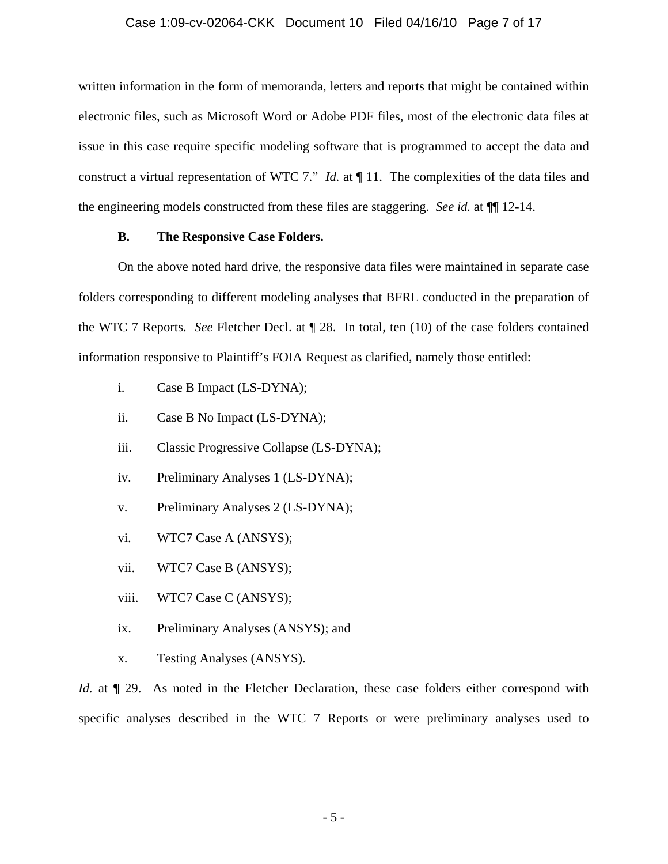#### Case 1:09-cv-02064-CKK Document 10 Filed 04/16/10 Page 7 of 17

written information in the form of memoranda, letters and reports that might be contained within electronic files, such as Microsoft Word or Adobe PDF files, most of the electronic data files at issue in this case require specific modeling software that is programmed to accept the data and construct a virtual representation of WTC 7." *Id.* at ¶ 11. The complexities of the data files and the engineering models constructed from these files are staggering. *See id.* at ¶¶ 12-14.

#### **B. The Responsive Case Folders.**

On the above noted hard drive, the responsive data files were maintained in separate case folders corresponding to different modeling analyses that BFRL conducted in the preparation of the WTC 7 Reports. *See* Fletcher Decl. at ¶ 28. In total, ten (10) of the case folders contained information responsive to Plaintiff's FOIA Request as clarified, namely those entitled:

- i. Case B Impact (LS-DYNA);
- ii. Case B No Impact (LS-DYNA);
- iii. Classic Progressive Collapse (LS-DYNA);
- iv. Preliminary Analyses 1 (LS-DYNA);
- v. Preliminary Analyses 2 (LS-DYNA);
- vi. WTC7 Case A (ANSYS);
- vii. WTC7 Case B (ANSYS);
- viii. WTC7 Case C (ANSYS);
- ix. Preliminary Analyses (ANSYS); and
- x. Testing Analyses (ANSYS).

*Id.* at  $\P$  29. As noted in the Fletcher Declaration, these case folders either correspond with specific analyses described in the WTC 7 Reports or were preliminary analyses used to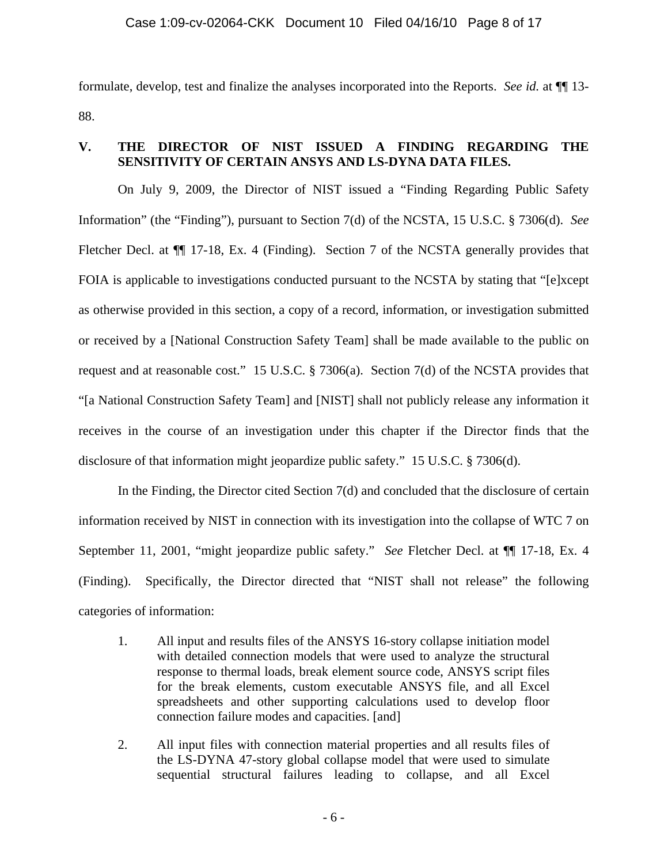formulate, develop, test and finalize the analyses incorporated into the Reports. *See id.* at ¶¶ 13- 88.

# **V. THE DIRECTOR OF NIST ISSUED A FINDING REGARDING THE SENSITIVITY OF CERTAIN ANSYS AND LS-DYNA DATA FILES.**

On July 9, 2009, the Director of NIST issued a "Finding Regarding Public Safety Information" (the "Finding"), pursuant to Section 7(d) of the NCSTA, 15 U.S.C. § 7306(d). *See*  Fletcher Decl. at  $\P$  17-18, Ex. 4 (Finding). Section 7 of the NCSTA generally provides that FOIA is applicable to investigations conducted pursuant to the NCSTA by stating that "[e]xcept as otherwise provided in this section, a copy of a record, information, or investigation submitted or received by a [National Construction Safety Team] shall be made available to the public on request and at reasonable cost." 15 U.S.C. § 7306(a). Section 7(d) of the NCSTA provides that "[a National Construction Safety Team] and [NIST] shall not publicly release any information it receives in the course of an investigation under this chapter if the Director finds that the disclosure of that information might jeopardize public safety." 15 U.S.C. § 7306(d).

In the Finding, the Director cited Section 7(d) and concluded that the disclosure of certain information received by NIST in connection with its investigation into the collapse of WTC 7 on September 11, 2001, "might jeopardize public safety." *See* Fletcher Decl. at ¶¶ 17-18, Ex. 4 (Finding). Specifically, the Director directed that "NIST shall not release" the following categories of information:

- 1. All input and results files of the ANSYS 16-story collapse initiation model with detailed connection models that were used to analyze the structural response to thermal loads, break element source code, ANSYS script files for the break elements, custom executable ANSYS file, and all Excel spreadsheets and other supporting calculations used to develop floor connection failure modes and capacities. [and]
- 2. All input files with connection material properties and all results files of the LS-DYNA 47-story global collapse model that were used to simulate sequential structural failures leading to collapse, and all Excel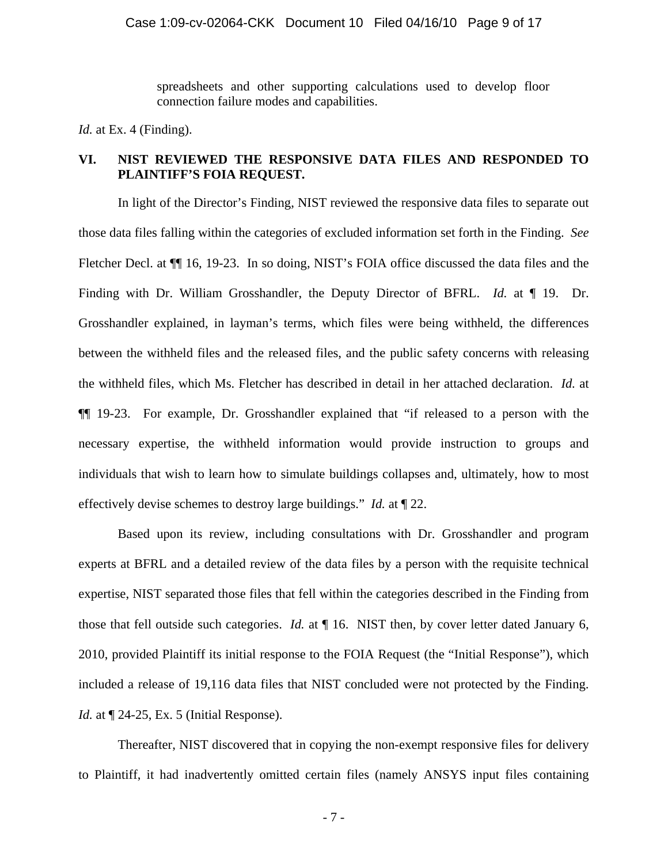spreadsheets and other supporting calculations used to develop floor connection failure modes and capabilities.

*Id.* at Ex. 4 (Finding).

# **VI. NIST REVIEWED THE RESPONSIVE DATA FILES AND RESPONDED TO PLAINTIFF'S FOIA REQUEST.**

 In light of the Director's Finding, NIST reviewed the responsive data files to separate out those data files falling within the categories of excluded information set forth in the Finding. *See*  Fletcher Decl. at ¶¶ 16, 19-23. In so doing, NIST's FOIA office discussed the data files and the Finding with Dr. William Grosshandler, the Deputy Director of BFRL. *Id.* at ¶ 19. Dr. Grosshandler explained, in layman's terms, which files were being withheld, the differences between the withheld files and the released files, and the public safety concerns with releasing the withheld files, which Ms. Fletcher has described in detail in her attached declaration. *Id.* at ¶¶ 19-23. For example, Dr. Grosshandler explained that "if released to a person with the necessary expertise, the withheld information would provide instruction to groups and individuals that wish to learn how to simulate buildings collapses and, ultimately, how to most effectively devise schemes to destroy large buildings." *Id.* at ¶ 22.

Based upon its review, including consultations with Dr. Grosshandler and program experts at BFRL and a detailed review of the data files by a person with the requisite technical expertise, NIST separated those files that fell within the categories described in the Finding from those that fell outside such categories. *Id.* at ¶ 16. NIST then, by cover letter dated January 6, 2010, provided Plaintiff its initial response to the FOIA Request (the "Initial Response"), which included a release of 19,116 data files that NIST concluded were not protected by the Finding. *Id.* at  $\P$  24-25, Ex. 5 (Initial Response).

Thereafter, NIST discovered that in copying the non-exempt responsive files for delivery to Plaintiff, it had inadvertently omitted certain files (namely ANSYS input files containing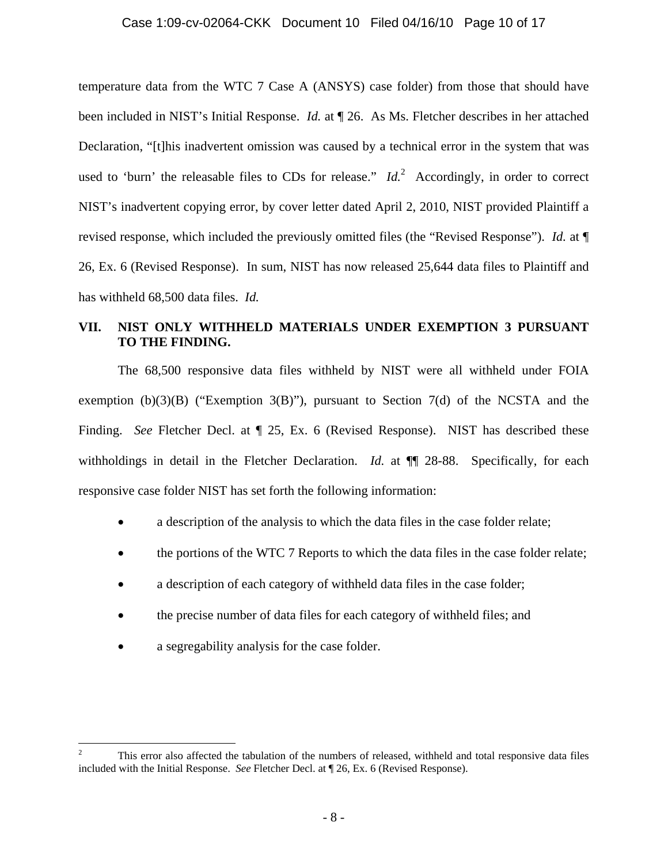temperature data from the WTC 7 Case A (ANSYS) case folder) from those that should have been included in NIST's Initial Response. *Id.* at ¶ 26. As Ms. Fletcher describes in her attached Declaration, "[t]his inadvertent omission was caused by a technical error in the system that was used to 'burn' the releasable files to CDs for release."  $Id<sup>2</sup>$  Accordingly, in order to correct NIST's inadvertent copying error, by cover letter dated April 2, 2010, NIST provided Plaintiff a revised response, which included the previously omitted files (the "Revised Response"). *Id.* at ¶ 26, Ex. 6 (Revised Response). In sum, NIST has now released 25,644 data files to Plaintiff and has withheld 68,500 data files. *Id.*

# **VII. NIST ONLY WITHHELD MATERIALS UNDER EXEMPTION 3 PURSUANT TO THE FINDING.**

 The 68,500 responsive data files withheld by NIST were all withheld under FOIA exemption (b)(3)(B) ("Exemption 3(B)"), pursuant to Section 7(d) of the NCSTA and the Finding. *See* Fletcher Decl. at  $\mathbb{I}$  25, Ex. 6 (Revised Response). NIST has described these withholdings in detail in the Fletcher Declaration. *Id.* at  $\P$  28-88. Specifically, for each responsive case folder NIST has set forth the following information:

- a description of the analysis to which the data files in the case folder relate;
- the portions of the WTC 7 Reports to which the data files in the case folder relate;
- a description of each category of withheld data files in the case folder;
- the precise number of data files for each category of withheld files; and
- a segregability analysis for the case folder.

 $\frac{1}{2}$  This error also affected the tabulation of the numbers of released, withheld and total responsive data files included with the Initial Response. *See* Fletcher Decl. at ¶ 26, Ex. 6 (Revised Response).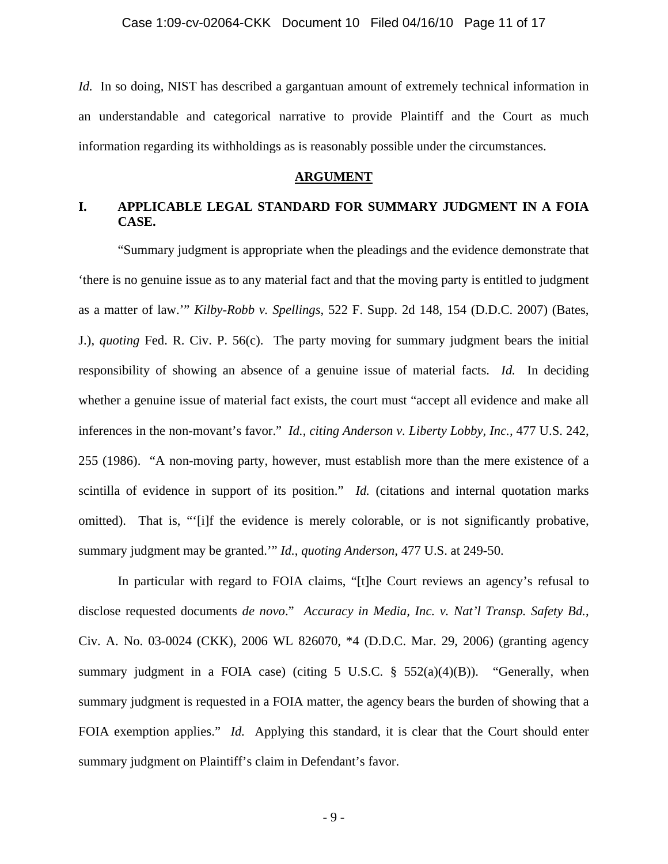*Id.* In so doing, NIST has described a gargantuan amount of extremely technical information in an understandable and categorical narrative to provide Plaintiff and the Court as much information regarding its withholdings as is reasonably possible under the circumstances.

#### **ARGUMENT**

# **I. APPLICABLE LEGAL STANDARD FOR SUMMARY JUDGMENT IN A FOIA CASE.**

 "Summary judgment is appropriate when the pleadings and the evidence demonstrate that 'there is no genuine issue as to any material fact and that the moving party is entitled to judgment as a matter of law.'" *Kilby-Robb v. Spellings*, 522 F. Supp. 2d 148, 154 (D.D.C. 2007) (Bates, J.), *quoting* Fed. R. Civ. P. 56(c). The party moving for summary judgment bears the initial responsibility of showing an absence of a genuine issue of material facts. *Id.* In deciding whether a genuine issue of material fact exists, the court must "accept all evidence and make all inferences in the non-movant's favor." *Id.*, *citing Anderson v. Liberty Lobby, Inc.,* 477 U.S. 242, 255 (1986). "A non-moving party, however, must establish more than the mere existence of a scintilla of evidence in support of its position." *Id.* (citations and internal quotation marks omitted). That is, "'[i]f the evidence is merely colorable, or is not significantly probative, summary judgment may be granted.'" *Id.*, *quoting Anderson,* 477 U.S. at 249-50.

In particular with regard to FOIA claims, "[t]he Court reviews an agency's refusal to disclose requested documents *de novo*." *Accuracy in Media, Inc. v. Nat'l Transp. Safety Bd.*, Civ. A. No. 03-0024 (CKK), 2006 WL 826070, \*4 (D.D.C. Mar. 29, 2006) (granting agency summary judgment in a FOIA case) (citing 5 U.S.C.  $\S$  552(a)(4)(B)). "Generally, when summary judgment is requested in a FOIA matter, the agency bears the burden of showing that a FOIA exemption applies." *Id.* Applying this standard, it is clear that the Court should enter summary judgment on Plaintiff's claim in Defendant's favor.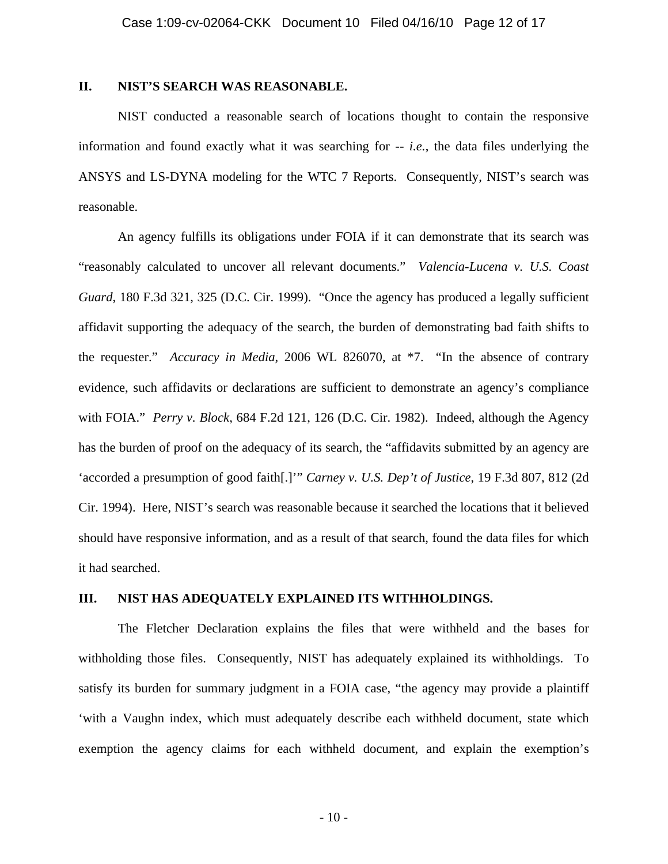### **II. NIST'S SEARCH WAS REASONABLE.**

 NIST conducted a reasonable search of locations thought to contain the responsive information and found exactly what it was searching for -- *i.e.*, the data files underlying the ANSYS and LS-DYNA modeling for the WTC 7 Reports. Consequently, NIST's search was reasonable.

An agency fulfills its obligations under FOIA if it can demonstrate that its search was "reasonably calculated to uncover all relevant documents." *Valencia-Lucena v. U.S. Coast Guard*, 180 F.3d 321, 325 (D.C. Cir. 1999). "Once the agency has produced a legally sufficient affidavit supporting the adequacy of the search, the burden of demonstrating bad faith shifts to the requester." *Accuracy in Media*, 2006 WL 826070, at \*7. "In the absence of contrary evidence, such affidavits or declarations are sufficient to demonstrate an agency's compliance with FOIA." *Perry v. Block*, 684 F.2d 121, 126 (D.C. Cir. 1982). Indeed, although the Agency has the burden of proof on the adequacy of its search, the "affidavits submitted by an agency are 'accorded a presumption of good faith[.]'" *Carney v. U.S. Dep't of Justice*, 19 F.3d 807, 812 (2d Cir. 1994). Here, NIST's search was reasonable because it searched the locations that it believed should have responsive information, and as a result of that search, found the data files for which it had searched.

#### **III. NIST HAS ADEQUATELY EXPLAINED ITS WITHHOLDINGS.**

The Fletcher Declaration explains the files that were withheld and the bases for withholding those files. Consequently, NIST has adequately explained its withholdings. To satisfy its burden for summary judgment in a FOIA case, "the agency may provide a plaintiff 'with a Vaughn index, which must adequately describe each withheld document, state which exemption the agency claims for each withheld document, and explain the exemption's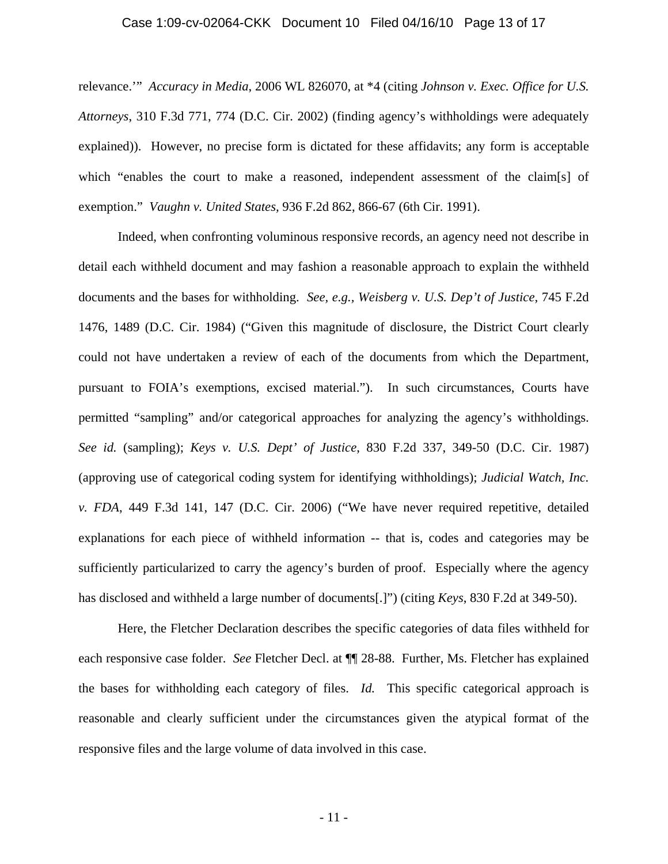#### Case 1:09-cv-02064-CKK Document 10 Filed 04/16/10 Page 13 of 17

relevance.'" *Accuracy in Media*, 2006 WL 826070, at \*4 (citing *Johnson v. Exec. Office for U.S. Attorneys*, 310 F.3d 771, 774 (D.C. Cir. 2002) (finding agency's withholdings were adequately explained)). However, no precise form is dictated for these affidavits; any form is acceptable which "enables the court to make a reasoned, independent assessment of the claim[s] of exemption." *Vaughn v. United States,* 936 F.2d 862, 866-67 (6th Cir. 1991).

Indeed, when confronting voluminous responsive records, an agency need not describe in detail each withheld document and may fashion a reasonable approach to explain the withheld documents and the bases for withholding. *See, e.g., Weisberg v. U.S. Dep't of Justice*, 745 F.2d 1476, 1489 (D.C. Cir. 1984) ("Given this magnitude of disclosure, the District Court clearly could not have undertaken a review of each of the documents from which the Department, pursuant to FOIA's exemptions, excised material."). In such circumstances, Courts have permitted "sampling" and/or categorical approaches for analyzing the agency's withholdings. *See id.* (sampling); *Keys v. U.S. Dept' of Justice*, 830 F.2d 337, 349-50 (D.C. Cir. 1987) (approving use of categorical coding system for identifying withholdings); *Judicial Watch, Inc. v. FDA*, 449 F.3d 141, 147 (D.C. Cir. 2006) ("We have never required repetitive, detailed explanations for each piece of withheld information -- that is, codes and categories may be sufficiently particularized to carry the agency's burden of proof. Especially where the agency has disclosed and withheld a large number of documents[.]") (citing *Keys*, 830 F.2d at 349-50).

Here, the Fletcher Declaration describes the specific categories of data files withheld for each responsive case folder. *See* Fletcher Decl. at ¶¶ 28-88. Further, Ms. Fletcher has explained the bases for withholding each category of files. *Id.* This specific categorical approach is reasonable and clearly sufficient under the circumstances given the atypical format of the responsive files and the large volume of data involved in this case.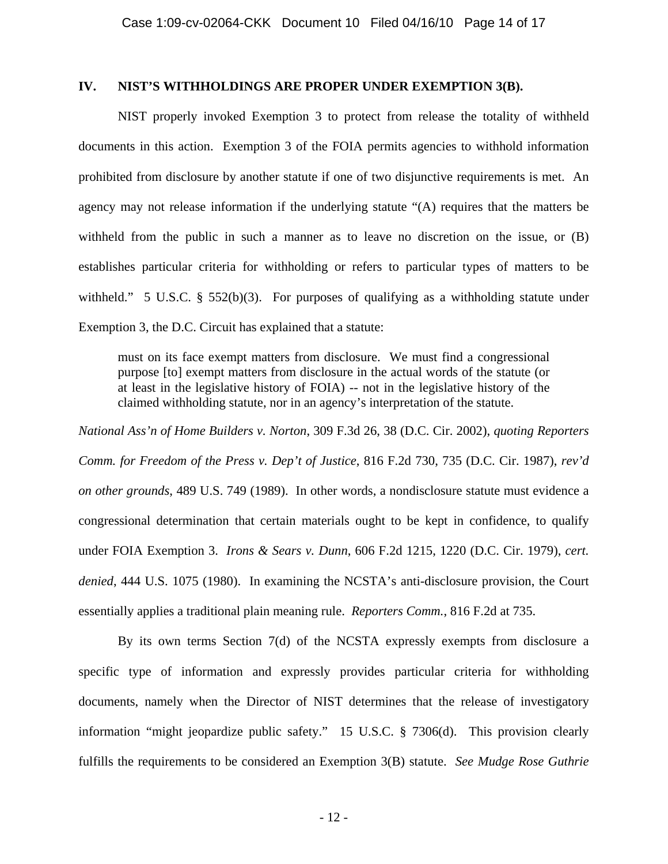### **IV. NIST'S WITHHOLDINGS ARE PROPER UNDER EXEMPTION 3(B).**

NIST properly invoked Exemption 3 to protect from release the totality of withheld documents in this action. Exemption 3 of the FOIA permits agencies to withhold information prohibited from disclosure by another statute if one of two disjunctive requirements is met. An agency may not release information if the underlying statute "(A) requires that the matters be withheld from the public in such a manner as to leave no discretion on the issue, or (B) establishes particular criteria for withholding or refers to particular types of matters to be withheld." 5 U.S.C. § 552(b)(3). For purposes of qualifying as a withholding statute under Exemption 3, the D.C. Circuit has explained that a statute:

must on its face exempt matters from disclosure. We must find a congressional purpose [to] exempt matters from disclosure in the actual words of the statute (or at least in the legislative history of FOIA) -- not in the legislative history of the claimed withholding statute, nor in an agency's interpretation of the statute.

*National Ass'n of Home Builders v. Norton*, 309 F.3d 26, 38 (D.C. Cir. 2002), *quoting Reporters Comm. for Freedom of the Press v. Dep't of Justice*, 816 F.2d 730, 735 (D.C. Cir. 1987), *rev'd on other grounds*, 489 U.S. 749 (1989). In other words, a nondisclosure statute must evidence a congressional determination that certain materials ought to be kept in confidence, to qualify under FOIA Exemption 3. *Irons & Sears v. Dunn*, 606 F.2d 1215, 1220 (D.C. Cir. 1979), *cert. denied*, 444 U.S. 1075 (1980). In examining the NCSTA's anti-disclosure provision, the Court essentially applies a traditional plain meaning rule. *Reporters Comm.*, 816 F.2d at 735.

By its own terms Section 7(d) of the NCSTA expressly exempts from disclosure a specific type of information and expressly provides particular criteria for withholding documents, namely when the Director of NIST determines that the release of investigatory information "might jeopardize public safety." 15 U.S.C. § 7306(d). This provision clearly fulfills the requirements to be considered an Exemption 3(B) statute. *See Mudge Rose Guthrie*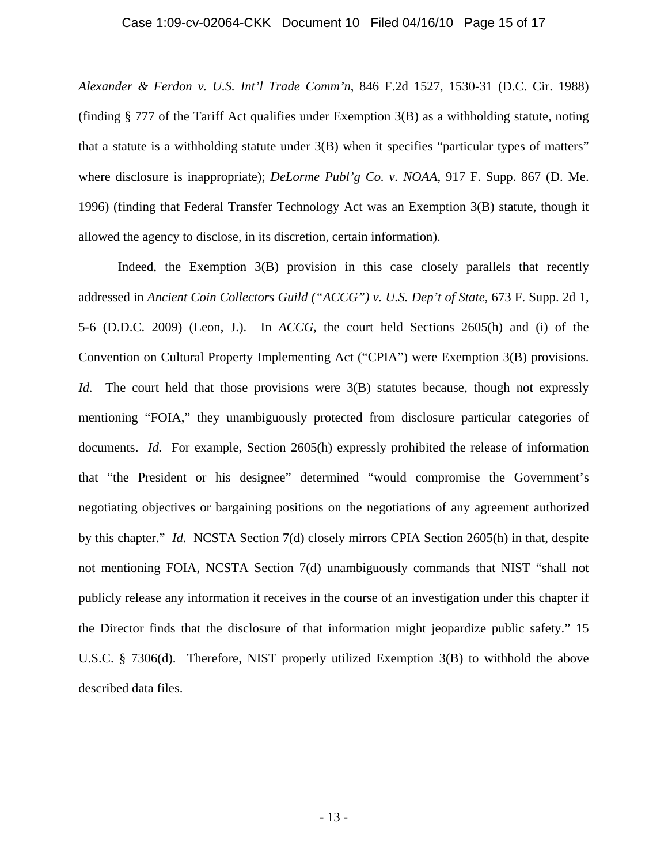*Alexander & Ferdon v. U.S. Int'l Trade Comm'n*, 846 F.2d 1527, 1530-31 (D.C. Cir. 1988) (finding § 777 of the Tariff Act qualifies under Exemption 3(B) as a withholding statute, noting that a statute is a withholding statute under 3(B) when it specifies "particular types of matters" where disclosure is inappropriate); *DeLorme Publ'g Co. v. NOAA*, 917 F. Supp. 867 (D. Me. 1996) (finding that Federal Transfer Technology Act was an Exemption 3(B) statute, though it allowed the agency to disclose, in its discretion, certain information).

Indeed, the Exemption 3(B) provision in this case closely parallels that recently addressed in *Ancient Coin Collectors Guild ("ACCG") v. U.S. Dep't of State*, 673 F. Supp. 2d 1, 5-6 (D.D.C. 2009) (Leon, J.). In *ACCG*, the court held Sections 2605(h) and (i) of the Convention on Cultural Property Implementing Act ("CPIA") were Exemption 3(B) provisions. *Id.* The court held that those provisions were 3(B) statutes because, though not expressly mentioning "FOIA," they unambiguously protected from disclosure particular categories of documents. *Id.* For example, Section 2605(h) expressly prohibited the release of information that "the President or his designee" determined "would compromise the Government's negotiating objectives or bargaining positions on the negotiations of any agreement authorized by this chapter." *Id.* NCSTA Section 7(d) closely mirrors CPIA Section 2605(h) in that, despite not mentioning FOIA, NCSTA Section 7(d) unambiguously commands that NIST "shall not publicly release any information it receives in the course of an investigation under this chapter if the Director finds that the disclosure of that information might jeopardize public safety." 15 U.S.C. § 7306(d). Therefore, NIST properly utilized Exemption 3(B) to withhold the above described data files.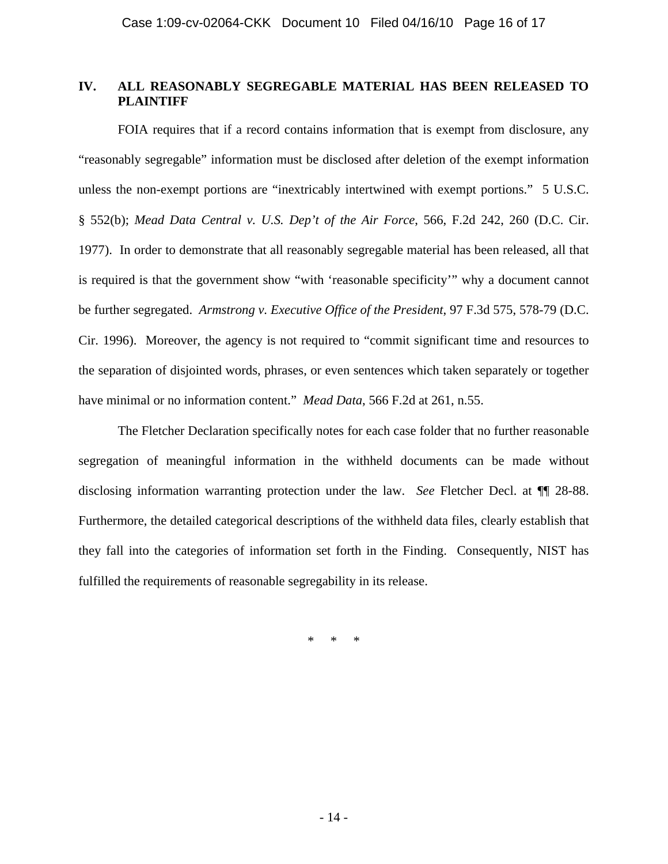## **IV. ALL REASONABLY SEGREGABLE MATERIAL HAS BEEN RELEASED TO PLAINTIFF**

 FOIA requires that if a record contains information that is exempt from disclosure, any "reasonably segregable" information must be disclosed after deletion of the exempt information unless the non-exempt portions are "inextricably intertwined with exempt portions." 5 U.S.C. § 552(b); *Mead Data Central v. U.S. Dep't of the Air Force*, 566, F.2d 242, 260 (D.C. Cir. 1977). In order to demonstrate that all reasonably segregable material has been released, all that is required is that the government show "with 'reasonable specificity'" why a document cannot be further segregated. *Armstrong v. Executive Office of the President*, 97 F.3d 575, 578-79 (D.C. Cir. 1996). Moreover, the agency is not required to "commit significant time and resources to the separation of disjointed words, phrases, or even sentences which taken separately or together have minimal or no information content." *Mead Data*, 566 F.2d at 261, n.55.

 The Fletcher Declaration specifically notes for each case folder that no further reasonable segregation of meaningful information in the withheld documents can be made without disclosing information warranting protection under the law. *See* Fletcher Decl. at ¶¶ 28-88. Furthermore, the detailed categorical descriptions of the withheld data files, clearly establish that they fall into the categories of information set forth in the Finding. Consequently, NIST has fulfilled the requirements of reasonable segregability in its release.

\* \* \*